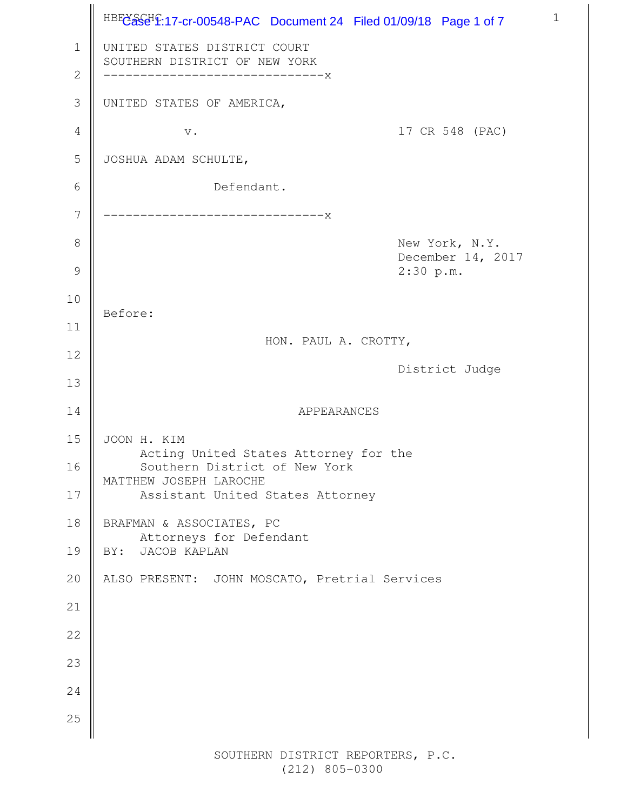HBEC<sup>3</sup>SCHP:17-cr-00548-PAC Document 24 Filed 01/09/18 Page 1 of 7 UNITED STATES DISTRICT COURT SOUTHERN DISTRICT OF NEW YORK ------------------------------x UNITED STATES OF AMERICA, v. 17 CR 548 (PAC) JOSHUA ADAM SCHULTE, Defendant. ------------------------------x New York, N.Y. December 14, 2017 2:30 p.m. Before: HON. PAUL A. CROTTY, District Judge APPEARANCES JOON H. KIM Acting United States Attorney for the Southern District of New York MATTHEW JOSEPH LAROCHE Assistant United States Attorney BRAFMAN & ASSOCIATES, PC Attorneys for Defendant BY: JACOB KAPLAN ALSO PRESENT: JOHN MOSCATO, Pretrial Services 1 2 3 4 5 6 7 8 9 10 11 12 13 14 15 16 17 18 19 20 21 22 23 24 25

1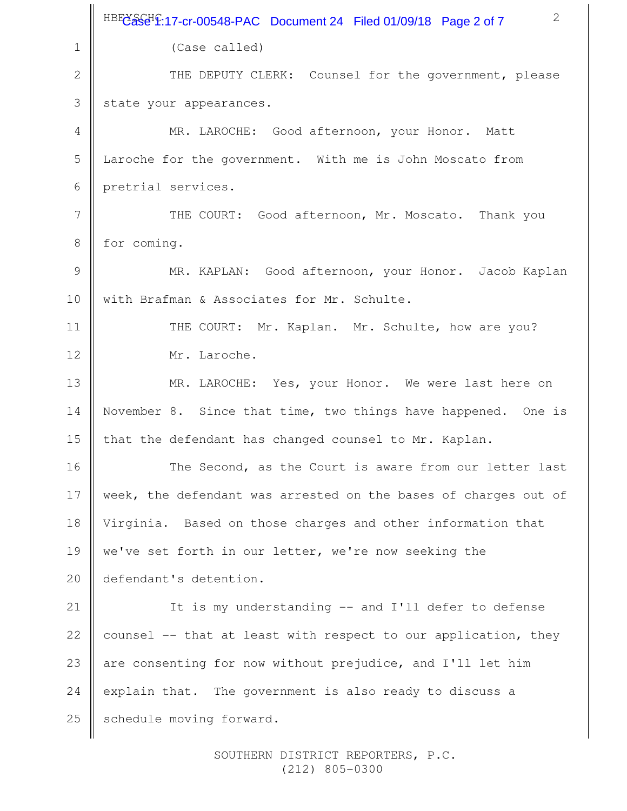|                | 2<br>HBFC&SCHP:17-cr-00548-PAC Document 24 Filed 01/09/18 Page 2 of 7 |
|----------------|-----------------------------------------------------------------------|
| $\mathbf 1$    | (Case called)                                                         |
| $\mathbf{2}$   | THE DEPUTY CLERK: Counsel for the government, please                  |
| 3              | state your appearances.                                               |
| $\overline{4}$ | MR. LAROCHE: Good afternoon, your Honor. Matt                         |
| 5              | Laroche for the government. With me is John Moscato from              |
| 6              | pretrial services.                                                    |
| 7              | THE COURT: Good afternoon, Mr. Moscato. Thank you                     |
| $8\,$          | for coming.                                                           |
| 9              | MR. KAPLAN: Good afternoon, your Honor. Jacob Kaplan                  |
| 10             | with Brafman & Associates for Mr. Schulte.                            |
| 11             | THE COURT: Mr. Kaplan. Mr. Schulte, how are you?                      |
| 12             | Mr. Laroche.                                                          |
| 13             | MR. LAROCHE: Yes, your Honor. We were last here on                    |
| 14             | November 8. Since that time, two things have happened. One is         |
| 15             | that the defendant has changed counsel to Mr. Kaplan.                 |
| 16             | The Second, as the Court is aware from our letter last                |
| 17             | week, the defendant was arrested on the bases of charges out of       |
| 18             | Virginia. Based on those charges and other information that           |
| 19             | we've set forth in our letter, we're now seeking the                  |
| 20             | defendant's detention.                                                |
| 21             | It is my understanding -- and I'll defer to defense                   |
| 22             | counsel -- that at least with respect to our application, they        |
| 23             | are consenting for now without prejudice, and I'll let him            |
| 24             | explain that. The government is also ready to discuss a               |
| 25             | schedule moving forward.                                              |
|                |                                                                       |

SOUTHERN DISTRICT REPORTERS, P.C. (212) 805-0300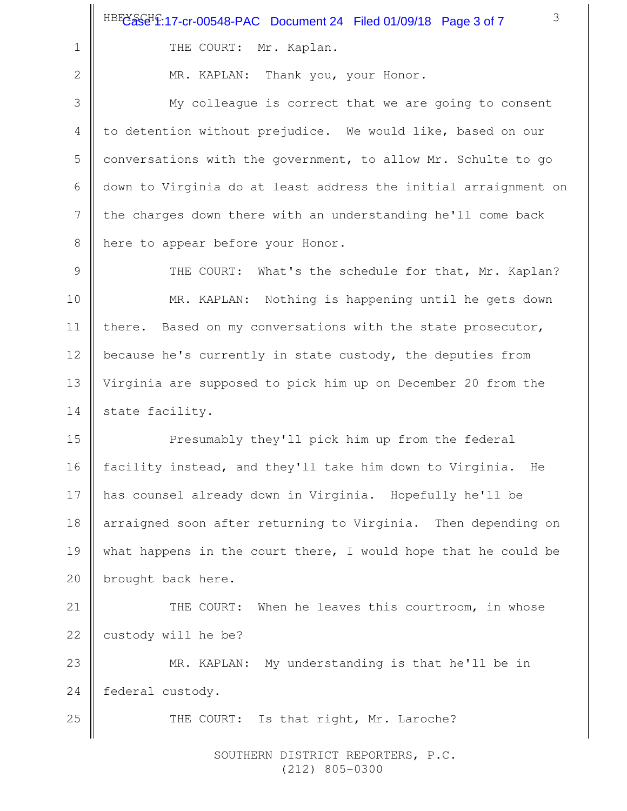THE COURT: Mr. Kaplan.

2

25

1

MR. KAPLAN: Thank you, your Honor.

My colleague is correct that we are going to consent to detention without prejudice. We would like, based on our conversations with the government, to allow Mr. Schulte to go down to Virginia do at least address the initial arraignment on the charges down there with an understanding he'll come back here to appear before your Honor. 3 4 5 6 7 8

THE COURT: What's the schedule for that, Mr. Kaplan? MR. KAPLAN: Nothing is happening until he gets down there. Based on my conversations with the state prosecutor, because he's currently in state custody, the deputies from Virginia are supposed to pick him up on December 20 from the state facility. 9 10 11 12 13 14

Presumably they'll pick him up from the federal facility instead, and they'll take him down to Virginia. He has counsel already down in Virginia. Hopefully he'll be arraigned soon after returning to Virginia. Then depending on what happens in the court there, I would hope that he could be brought back here. 15 16 17 18 19 20

THE COURT: When he leaves this courtroom, in whose custody will he be? 21 22

MR. KAPLAN: My understanding is that he'll be in federal custody. 23 24

THE COURT: Is that right, Mr. Laroche?

SOUTHERN DISTRICT REPORTERS, P.C. (212) 805-0300

3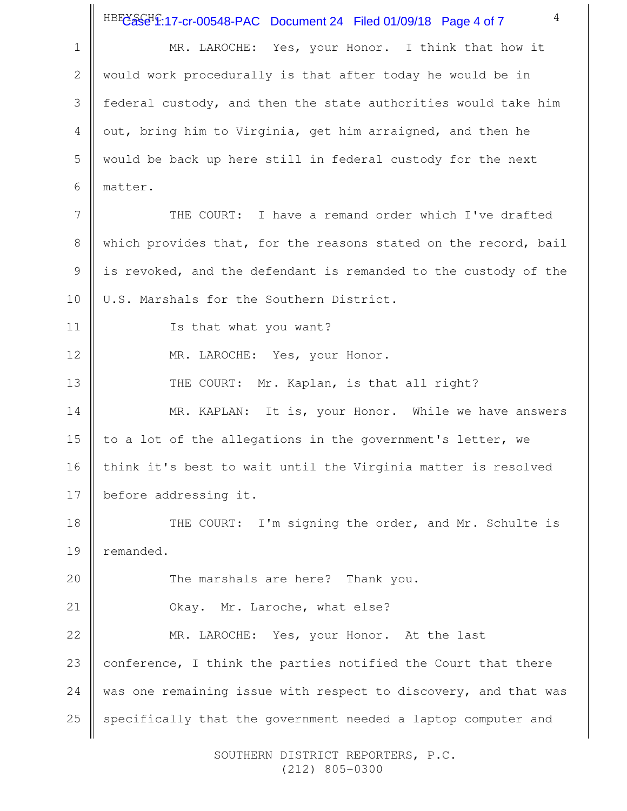HBEC<sup>3</sup>S<sub>C</sub>H<sub>2</sub>:17-cr-00548-PAC Document 24 Filed 01/09/18 Page 4 of 7

4

MR. LAROCHE: Yes, your Honor. I think that how it would work procedurally is that after today he would be in federal custody, and then the state authorities would take him out, bring him to Virginia, get him arraigned, and then he would be back up here still in federal custody for the next matter. THE COURT: I have a remand order which I've drafted which provides that, for the reasons stated on the record, bail is revoked, and the defendant is remanded to the custody of the U.S. Marshals for the Southern District. Is that what you want? MR. LAROCHE: Yes, your Honor. THE COURT: Mr. Kaplan, is that all right? MR. KAPLAN: It is, your Honor. While we have answers to a lot of the allegations in the government's letter, we think it's best to wait until the Virginia matter is resolved before addressing it. THE COURT: I'm signing the order, and Mr. Schulte is remanded. The marshals are here? Thank you. Okay. Mr. Laroche, what else? MR. LAROCHE: Yes, your Honor. At the last conference, I think the parties notified the Court that there was one remaining issue with respect to discovery, and that was specifically that the government needed a laptop computer and 1 2 3 4 5 6 7 8 9 10 11 12 13 14 15 16 17 18 19 20 21 22 23 24 25

> SOUTHERN DISTRICT REPORTERS, P.C. (212) 805-0300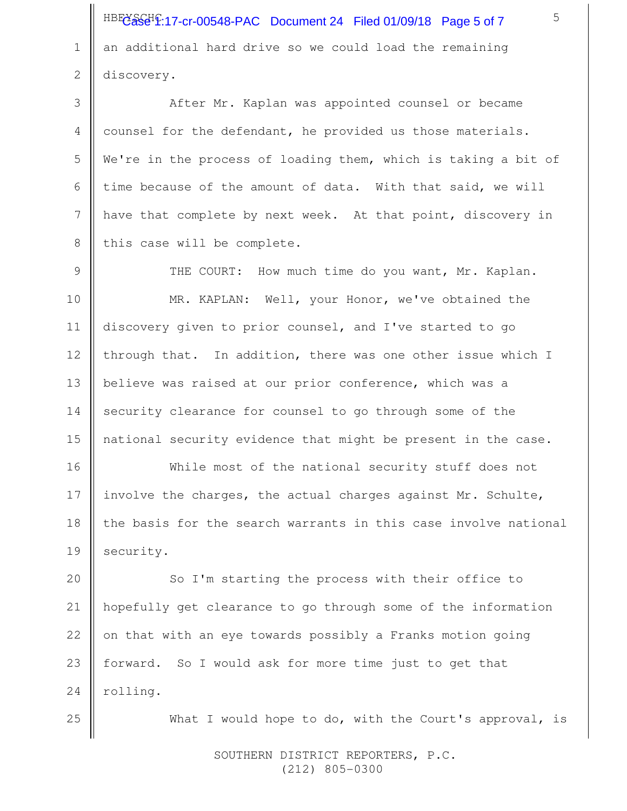HBEC<sup>3</sup>S<sub>C</sub>H<sub>2</sub>:17-cr-00548-PAC Document 24 Filed 01/09/18 Page 5 of 7 an additional hard drive so we could load the remaining discovery.

1

2

25

After Mr. Kaplan was appointed counsel or became counsel for the defendant, he provided us those materials. We're in the process of loading them, which is taking a bit of time because of the amount of data. With that said, we will have that complete by next week. At that point, discovery in this case will be complete. 3 4 5 6 7 8

THE COURT: How much time do you want, Mr. Kaplan. MR. KAPLAN: Well, your Honor, we've obtained the discovery given to prior counsel, and I've started to go through that. In addition, there was one other issue which I believe was raised at our prior conference, which was a security clearance for counsel to go through some of the national security evidence that might be present in the case. 9 10 11 12 13 14 15

While most of the national security stuff does not involve the charges, the actual charges against Mr. Schulte, the basis for the search warrants in this case involve national security. 16 17 18 19

So I'm starting the process with their office to hopefully get clearance to go through some of the information on that with an eye towards possibly a Franks motion going forward. So I would ask for more time just to get that rolling. 20 21 22 23 24

What I would hope to do, with the Court's approval, is

SOUTHERN DISTRICT REPORTERS, P.C. (212) 805-0300

5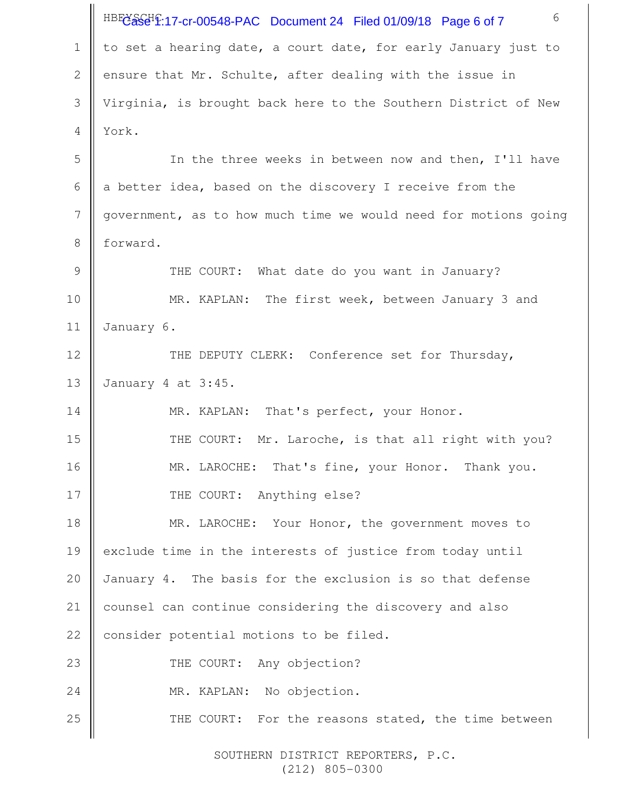6 HBEC<sup>3</sup>S<sub>C</sub>H<sub>2</sub>:17-cr-00548-PAC Document 24 Filed 01/09/18 Page 6 of 7 to set a hearing date, a court date, for early January just to ensure that Mr. Schulte, after dealing with the issue in Virginia, is brought back here to the Southern District of New York. In the three weeks in between now and then, I'll have a better idea, based on the discovery I receive from the government, as to how much time we would need for motions going forward. THE COURT: What date do you want in January? MR. KAPLAN: The first week, between January 3 and January 6. THE DEPUTY CLERK: Conference set for Thursday, January 4 at 3:45. MR. KAPLAN: That's perfect, your Honor. THE COURT: Mr. Laroche, is that all right with you? MR. LAROCHE: That's fine, your Honor. Thank you. THE COURT: Anything else? MR. LAROCHE: Your Honor, the government moves to exclude time in the interests of justice from today until January 4. The basis for the exclusion is so that defense counsel can continue considering the discovery and also consider potential motions to be filed. THE COURT: Any objection? MR. KAPLAN: No objection. THE COURT: For the reasons stated, the time between 1 2 3 4 5 6 7 8 9 10 11 12 13 14 15 16 17 18 19 20 21 22 23 24 25

> SOUTHERN DISTRICT REPORTERS, P.C. (212) 805-0300